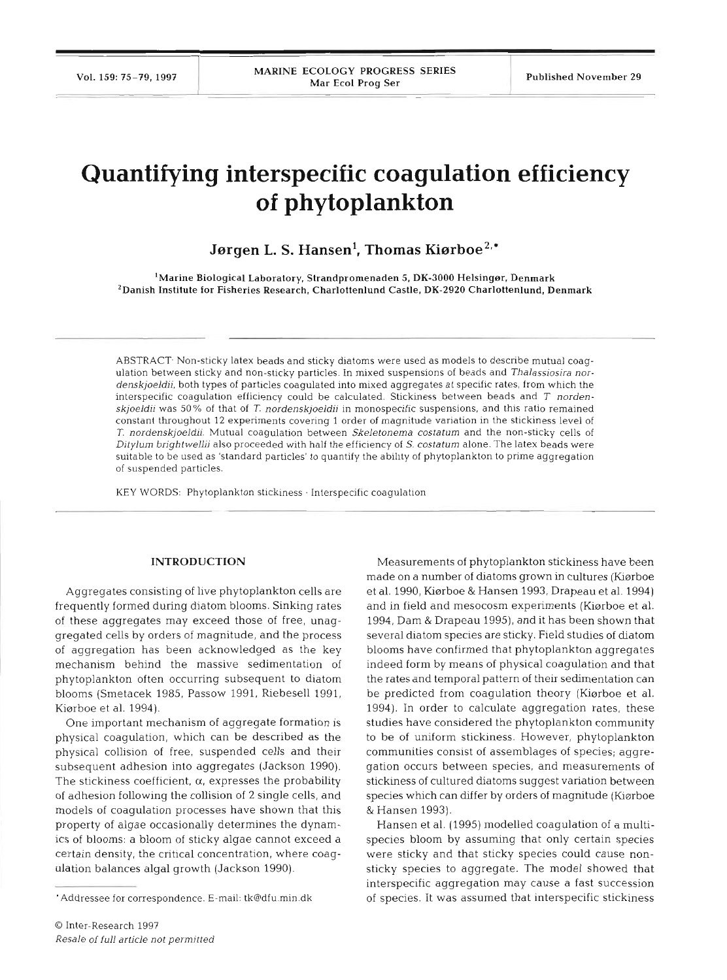# **Quantifying interspecific coagulation efficiency of phytoplankton**

Jørgen L. S. Hansen<sup>1</sup>, Thomas Kiørboe<sup>2,\*</sup>

'Marine Biological Laboratory, Strandpromenaden 5, **DK-3000** Helsinger, Denmark 'Danish Institute for Fisheries Research, Charlottenlund Castle, **DK-2920** Charlottenlund, Denmark

ABSTRACT Non-sticky latex beads and sticky diatoms were used as models to describe mutual coagulation between sticky and non-sticky particles. In mixed suspensions of beads and *Thalassiosira nordenskjoeldii,* both types of particles coagulated into mixed aggregates at specific rates, from which the interspecific coagulation efficiency could be calculated. Stickiness between beads and T norden*skjoeldii* was *50* % of that of *T nordenskjoeldii* in monospecific suspensions, and thls ratio remained constant throughout 12 experiments covering 1 order of magnitude variation in the stickiness level of *T. nordenskjoeldii.* Mutual coagulation between *Skeletonema costatum* and the non-sticky cells of *Ditylum brightwellii* also proceeded with half the efficiency of S. *costatum* alone. The latex beads were suitable to be used as 'standard particles' to quantify the ability of phytoplankton to prime aggregation of suspended particles.

KEY WORDS: Phytoplankton stickiness . Interspecific coagulation

### **INTRODUCTION**

Aggregates consisting of live phytoplankton cells are frequently formed during diatom blooms. Sinking rates of these aggregates may exceed those of free, unaggregated cells by orders of magnitude, and the process of aggregation has been acknowledged as the key mechanism behind the massive sedimentation of phytoplankton often occurring subsequent to diatom blooms (Smetacek 1985, Passow 1991, Riebesell 1991, Kiarboe et al. 1994).

One important mechanism of aggregate formation is physical coagulation, which can be described as the physical collision of free, suspended cells and their subsequent adhesion into aggregates (Jackson 1990). The stickiness coefficient, *a,* expresses the probability of adhesion following the collision of 2 single cells, and models of coagulation processes have shown that this property of algae occasionally determines the dynamics of blooms: a bloom of sticky algae cannot exceed a certain density, the critical concentration, where coagulation balances algal growth (Jackson 1990).

Measurements of phytoplankton stickiness have been made on a number of diatoms grown in cultures (Kiørboe et al. 1990, Kiarboe & Hansen 1993, Drapeau et al. 1994) and in field and mesocosm experiments (Kiarboe et al. 1994, Dam & Drapeau 1995), and it has been shown that several diatom species are sticky. Field studies of diatom blooms have confirmed that phytoplankton aggregates indeed form by means of physical coagulation and that the rates and temporal pattern of their sedimentation can be predicted from coagulation theory (Kiarboe et al. 1994). In order to calculate aggregation rates, these studies have considered the phytoplankton community to be of uniform stickiness. However, phytoplankton communities consist of assemblages of species; aggregation occurs between species, and measurements of stickiness of cultured diatoms suggest variation between species which can differ by orders of magnitude (Kiørboe & Hansen 1993).

Hansen et al. (1995) modelled coagulation of a multispecies bloom by assuming that only certain species were sticky and that sticky species could cause nonsticky species to aggregate. The model showed that interspecific aggregation may cause a fast succession of species. It was assumed that interspecific stickiness

<sup>&#</sup>x27;Addressee for correspondence. E-mail: tk@dfu min.dk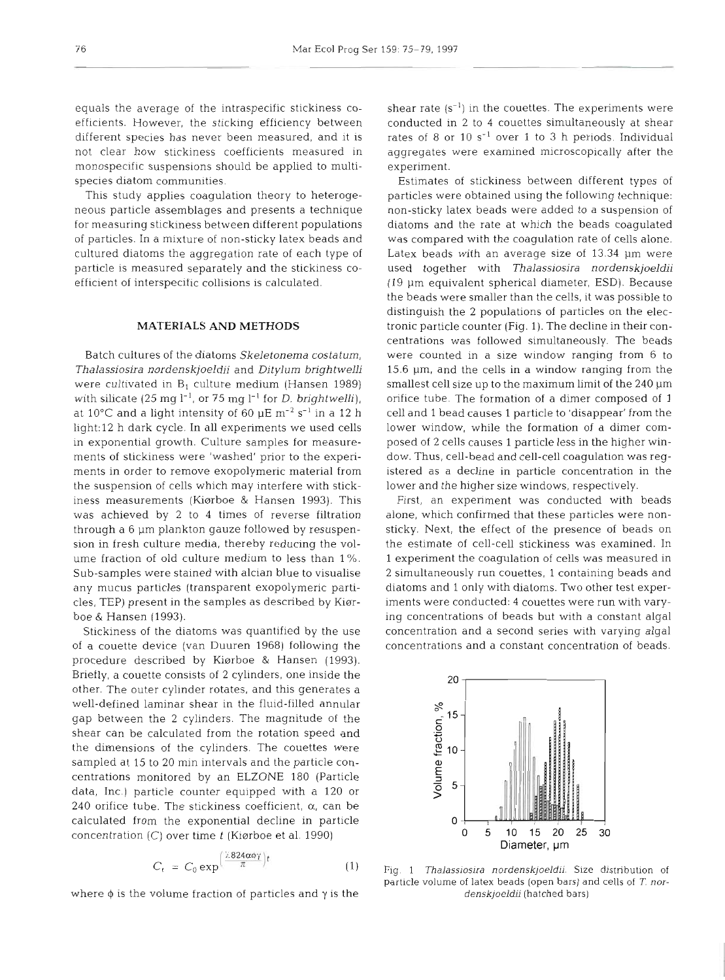equals the average of the intraspecific stickiness coefficients. However, the sticking efficiency between different species has never been measured, and it is not clear how stickiness coefficients measured in monospecific suspensions should be applied to multispecies diatom communities.

This study applies coagulation theory to heterogeneous particle assemblages and presents a technique for measuring stickiness between different populations of particles. In a mixture of non-sticky latex beads and cultured diatoms the aggregation rate of each type of particle is measured separately and the stickiness coefficient of interspecific collisions is calculated.

# MATERIALS AND METHODS

Batch cultures of the diatoms Skeletonema costatum, Thalassiosira nordenskjoeldii and Ditylum brightwelli were cultivated in  $B_1$  culture medium (Hansen 1989) with silicate (25 mg  $l^{-1}$ , or 75 mg  $l^{-1}$  for *D. brightwelli*), at 10°C and a light intensity of 60  $\mu$ E m<sup>-2</sup> s<sup>-1</sup> in a 12 h light:l2 h dark cycle. In all experiments we used cells in exponential growth. Culture samples for measurements of stickiness were 'washed' prior to the experiments in order to remove exopolymeric material from the suspension of cells which may interfere with stickiness measurements (Kiarboe & Hansen 1993). This was achieved by 2 to 4 times of reverse filtration through a 6  $\mu$ m plankton gauze followed by resuspension in fresh culture media, thereby reducing the volume fraction of old culture medium to less than 1 %. Sub-samples were stained with alcian blue to visualise any mucus particles (transparent exopolymeric particles, TEP) present in the samples as described by Kierboe & Hansen (1993).

Stickiness of the diatoms was quantified by the use of a couette device (van Duuren 1968) following the procedure described by Kiørboe & Hansen (1993). Briefly, a couette consists of 2 cylinders, one inside the other. The outer cylinder rotates, and this generates a well-defined laminar shear in the fluid-filled annular gap between the 2 cylinders. The magnitude of the shear can be calculated from the rotation speed and the dimensions of the cylinders. The couettes were sampled at 15 to 20 min intervals and the particle concentrations monitored by an ELZONE 180 (Particle data, Inc.) particle counter equipped with a 120 or 240 orifice tube. The stickiness coefficient, **a,** can be calculated from the exponential decline in particle concentration  $(C)$  over time t (Kiørboe et al. 1990)

$$
C_t = C_0 \exp\left(\frac{7.824\alpha\phi\gamma}{\pi}\right)t\tag{1}
$$

where  $\phi$  is the volume fraction of particles and  $\gamma$  is the

shear rate  $(s^{-1})$  in the couettes. The experiments were conducted in 2 to 4 couettes simultaneously at shear rates of 8 or 10  $s^{-1}$  over 1 to 3 h periods. Individual aggregates were examined microscopically after the experiment.

Estimates of stickiness between different types of particles were obtained using the following technique: non-sticky latex beads were added to a suspension of diatoms and the rate at which the beads coagulated was compared with the coagulation rate of cells alone. Latex beads with an average size of 13.34 µm were used together with Thalassiosira nordenskjoeldii (19 pm equivalent spherical diameter, ESD). Because the beads were smaller than the cells, it was possible to distinguish the 2 populations of particles on the electronic particle counter (Fig. 1). The decline in their concentrations was followed simultaneously. The beads were counted in a size window ranging from 6 to 15.6  $\mu$ m, and the cells in a window ranging from the smallest cell size up to the maximum limit of the  $240 \mu m$ orifice tube. The formation of a dimer composed of 1 cell and 1 bead causes 1 particle to 'disappear' from the lower window, while the formation of a dimer composed of 2 cells causes 1 particle less in the higher window. Thus, cell-bead and cell-cell coagulation was registered as a decline in particle concentration in the lower and the higher size windows, respectively.

First, an experiment was conducted with beads alone, which confirmed that these particles were nonsticky. Next, the effect of the presence of beads on the estimate of cell-cell stickiness was examined. In 1 experiment the coagulation of cells was measured in 2 simultaneously run couettes, 1 containing beads and diatoms and 1 only with diatoms. Two other test experiments were conducted: 4 couettes were run with varying concentrations of beads but with a constant algal concentration and a second series wlth varying algal concentrations and a constant concentration of beads.



Fig. *1 Thalassiosira nordenskjoeldii.* Size distribution of particle volume of latex beads (open bars) and cells of **<sup>T</sup>***nordenskjoeldii* (hatched bars)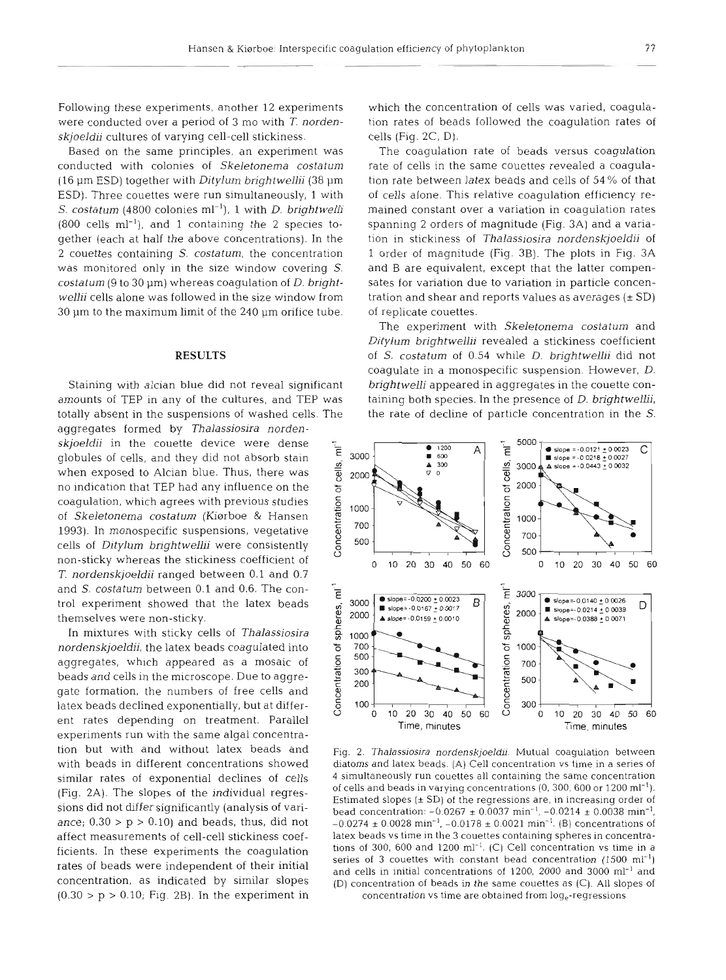Following these experiments, another 12 experiments were conducted over a period of **3** mo with *T. nordenskjoeldii* cultures of varying cell-cell stickiness.

Based on the same principles, an experiment was conducted with colonies of *Skeletonema costatum*  (16 pm ESD) together with *Ditylum brightwellii* (38 pm ESD). Three couettes were run simultaneously, 1 with *S. costatum* (4800 colonies ml<sup>-1</sup>), 1 with *D. brightwelli*  $(800 \text{ cells ml}^{-1})$ , and 1 containing the 2 species together (each at half the above concentrations). In the 2 couettes containing S. *costatum,* the concentration was monitored only in the size window covering *S.*  costatum (9 to 30 µm) whereas coagulation of *D. brightwellii* cells alone was followed in the size window from  $30 \mu m$  to the maximum limit of the  $240 \mu m$  orifice tube.

## **RESULTS**

Staining with alcian blue did not reveal significant amounts of TEP in any of the cultures, and TEP was totally absent in the suspensions of washed cells. The

aggregates formed by *Thalassiosira norden*globules of cells, and they did not absorb stain when exposed to Alcian blue. Thus, there was<br>when exposed to Alcian blue. Thus, there was<br>no indication that TEP had any influence on the<br>coagulation, which agrees with previous studies<br>of *Skeletonema costatum* (Kiørboe & no indication that TEP had any influence on the coagulation, which agrees with previous studies *.z 6* **<sup>1000</sup>** of *Skeletonema costatum* (Kiørboe & Hansen *T. nordenskjoeldii* ranged between 0.1 and 0.7 and *S. costatum* between 0.1 and 0.6. The control experiment showed that the latex beads themselves were non-sticky.

In mixtures with sticky cells of *Thalassiosira nordenskjoeldii,* the latex beads coagulated into aggregates, which appeared as a mosaic of beads and cells in the microscope. Due to aggregate formation, the numbers of free cells and latex beads declined exponentially, but at different rates depending on treatment. Parallel experiments run with the same algal concentration but with and without latex beads and with beads in different concentrations showed similar rates of exponential declines of cells (Fig. 2A). The slopes of the individual regressions did not differ significantly (analysis of variance;  $0.30 > p > 0.10$ ) and beads, thus, did not affect measurements of cell-cell stickiness coefficients. In these experiments the coagulation rates of beads were independent of their initial concentration, as indicated by similar slopes  $(0.30 > p > 0.10;$  Fig. 2B). In the experiment in

which the concentration of cells was varied, coagula-<br>tion rates of beads followed the coagulation rates of<br>cells (Fig. 2C, D).<br>The coagulation rate of beads versus coagulation<br>rate of cells in the same couettes revealed a 1 order of magnitude (Fig. 3B). The plots in Fig. 3A<br>and B are equivalent, except that the latter compensates for variation due to variation in particle concentration and shear and reports values as averages ( $\pm$  SD)<br>of

Ditylum brightwellii revealed a stickiness coefficient<br>of *S. costatum* of 0.54 while *D. brightwellii* did not<br>coagulate in a monospecific suspension. However, *D.*<br>brightwelli appeared in aggregates in the couette con-<br>t the rate of decline of particle concentration in the *S.* 



Fig. 2. *Thalassiosira nordenskjoeldii.* Mutual coagulation between diatoms and latex beads. (A) Cell concentration vs time in a series of 4 simultaneously run couettes all containing the same concentration of cells and beads in varying concentrations  $(0, 300, 600$  or  $1200$  ml<sup>-1</sup>). Estimated slopes  $(\pm SD)$  of the regressions are, in increasing order of bead concentration:  $-0.0267 \pm 0.0037$  min<sup>-1</sup>,  $-0.0214 \pm 0.0038$  min<sup>-1</sup>  $-0.0274 \pm 0.0028$  min<sup>-1</sup>,  $-0.0178 \pm 0.0021$  min<sup>-1</sup>. (B) concentrations of latex beads vs time in the 3 couettes containing spheres in concentrations of 300, 600 and 1200  $\text{ml}^{-1}$ . (C) Cell concentration vs time in a series of 3 couettes with constant bead concentration  $(1500 \text{ ml}^{-1})$ and cells in initial concentrations of 1200, 2000 and 3000 ml-' and (D) concentration of beads in the same couettes as (C). All slopes of concentration vs time are obtained from log<sub>e</sub>-regressions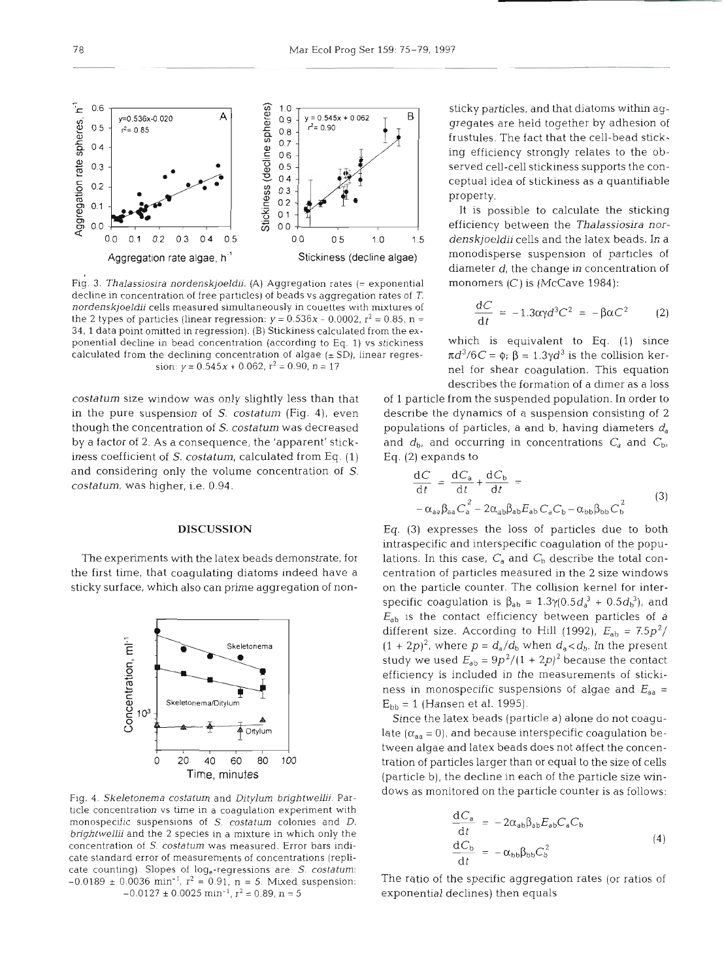

Fig. 3. Thalassiosira nordenskjoeldii. (A) Aggregation rates (= exponential monomers (C) is (McCave 1984): decline in concentration of free particles) of beads vs aggregation rates of T. nordenskjoeldii cells measured simultaneously in couettes with mixtures of the 2 types of particles (linear regression:  $y = 0.536x - 0.0002$ ,  $r^2 = 0.85$ , n = 34, 1 data point omitted in regression). (B) Stickiness calculated from the exponential decline in bead concentration (according to Eq. 1) vs stickiness which is equivalent to Eq. (1) since calculated from the declining concentration of algae ( $\pm$  SD), linear regres-  $\pi d^3/6C = \phi$ ;  $\beta = 1.3\gamma d^3$  is the collision ker-

in the pure suspension of S. costatum (Fig. 4), even describe the dynamics of a suspension consisting of **2**  though the concentration of S. costatum was decreased populations of particles, a and b, having diameters  $d_a$ by a factor of 2. As a consequence, the 'apparent' stick- and  $d_b$ , and occurring in concentrations  $C_a$  and  $C_b$ , iness coefficient of S. costatum, calculated from Eq.  $(1)$  Eq.  $(2)$  expands to and considering only the volume concentration of  $S$ . costatum, was higher, i.e. 0.94.

## DISCUSSION

The experiments with the latex beads demonstrate, for the first time, that coagulating diatoms indeed have a sticky surface, which also can prime aggregation of non-



Fig. 4. Skeletonema costatum and Ditylum brightwellii. Particle concentration vs time in a coagulation experiment with monospecific suspensions of S. costatum colonies and D. brightwellii and the 2 species in a mixture in which only the concentration of S. costatum was measured. Error bars indicate standard error of measurements of concentrations (replicate counting). Slopes of log<sub>e</sub>-regressions are: S. costatum:  $-0.0189 \pm 0.0036 \text{ min}^{-1}$ ,  $r^2 = 0.91$ ,  $n = 5$ . Mixed suspension:  $-0.0127 \pm 0.0025$  min<sup>-1</sup>,  $r^2 = 0.89$ , n = 5

$$
\frac{\mathrm{d}C}{\mathrm{d}t} = -1.3\alpha\gamma d^3 C^2 = -\beta\alpha C^2 \qquad (2)
$$

sion:  $y = 0.545x + 0.062$ ,  $r^2 = 0.90$ ,  $n = 17$  nel for shear coagulation. This equation describes the formation of a dimer as a loss

costatum size window was only slightly less than that of 1 particle from the suspended population. In order to

$$
\frac{dC}{dt} = \frac{dC_a}{dt} + \frac{dC_b}{dt} =
$$
  
-  $\alpha_{aa} \beta_{aa} C_a^2 - 2\alpha_{ab} \beta_{ab} E_{ab} C_a C_b - \alpha_{bb} \beta_{bb} C_b^2$  (3)

Eq. (3) expresses the loss of particles due to both intraspecific and interspecific coagulation of the populations. In this case,  $C_a$  and  $C_b$  describe the total concentration of particles measured in the 2 size windows on the particle counter. The collision kernel for interspecific coagulation is  $\beta_{ab} = 1.3\gamma(0.5d_a^3 + 0.5d_b^3)$ , and  $E_{ab}$  is the contact efficiency between particles of a different size. According to Hill (1992),  $E_{ab} = 7.5p^2/$  $(1 + 2p)^2$ , where  $p = d_a/d_b$  when  $d_a < d_b$ . In the present study we used  $E_{ab} = 9p^2/(1 + 2p)^2$  because the contact efficiency is included in the measurements of stickiness in monospecific suspensions of algae and  $E_{aa}$  =  $E_{bb} = 1$  (Hansen et al. 1995).

Since the latex beads (particle a) alone do not coagulate  $(\alpha_{aa}=0)$ , and because interspecific coagulation between algae and latex beads does not affect the concentration of particles larger than or equal to the size of cells (particle b), the decline in each of the particle size windows as monitored on the particle counter is as follows:

$$
\frac{dC_a}{dt} = -2\alpha_{ab}\beta_{ab}E_{ab}C_aC_b
$$
\n
$$
\frac{dC_b}{dt} = -\alpha_{bb}\beta_{bb}C_b^2
$$
\n(4)

The ratio of the specific aggregation rates (or ratios of exponential declines) then equals